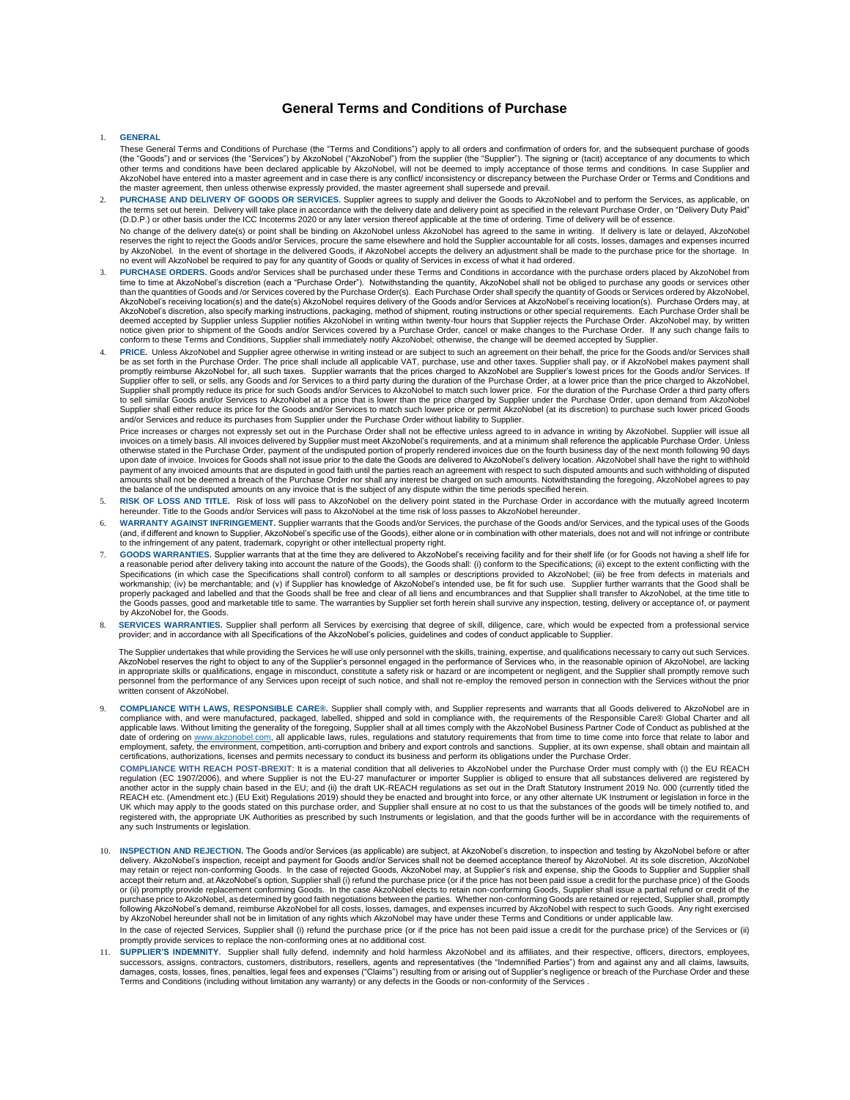## **General Terms and Conditions of Purchase**

## 1. **GENERAL**

- These General Terms and Conditions of Purchase (the "Terms and Conditions") apply to all orders and confirmation of orders for, and the subsequent purchase of goods (the "Goods") and or services (the "Services") by AkzoNobel ("AkzoNobel") from the supplier (the "Supplier"). The signing or (tacit) acceptance of any documents to which<br>other terms and conditions have been declared applic AkzoNobel have entered into a master agreement and in case there is any conflict/ inconsistency or discrepancy between the Purchase Order or Terms and Conditions and<br>the master agreement, then unless otherwise expressly pr
- 2. **PURCHASE AND DELIVERY OF GOODS OR SERVICES.** Supplier agrees to supply and deliver the Goods to AkzoNobel and to perform the Services, as applicable, on the terms set out herein. Delivery will take place in accordance with the delivery date and delivery point as specified in the relevant Purchase Order, on "Delivery Duty Paid" (D.D.P.) or other basis under the ICC Incoterms 2020 or any later version thereof applicable at the time of ordering. Time of delivery will be of essence. No change of the delivery date(s) or point shall be binding on AkzoNobel unless AkzoNobel has agreed to the same in writing. If delivery is late or delayed, AkzoNobel reserves the right to reject the Goods and/or Services, procure the same elsewhere and hold the Supplier accountable for all costs, losses, damages and expenses incurred by AkzoNobel. In the event of shortage in the delivered Goods, if AkzoNobel accepts the delivery an adjustment shall be made to the purchase price for the shortage. In<br>no event will AkzoNobel be required to pay for any qua
- 3. **PURCHASE ORDERS.** Goods and/or Services shall be purchased under these Terms and Conditions in accordance with the purchase orders placed by AkzoNobel from time to time at AkzoNobel's discretion (each a "Purchase Order"). Notwithstanding the quantity, AkzoNobel shall not be obliged to purchase any goods or services other<br>than the quantities of Goods and /or Services covered b AkzoNobel's discretion, also specify marking instructions, packaging, method of shipment, routing instructions or other special requirements. Each Purchase Order shall be deemed accepted by Supplier unless Supplier notifies AkzoNobel in writing within twenty-four hours that Supplier rejects the Purchase Order. AkzoNobel may, by written<br>notice given prior to shipment of the Goods and/or Serv conform to these Terms and Conditions, Supplier shall immediately notify AkzoNobel; otherwise, the change will be deemed accepted by Supplier.
- PRICE. Unless AkzoNobel and Supplier agree otherwise in writing instead or are subject to such an agreement on their behalf, the price for the Goods and/or Services shall be as set forth in the Purchase Order. The price shall include all applicable VAT, purchase, use and other taxes. Supplier shall pay, or if AkzoNobel makes payment shall<br>promptly reimburse AkzoNobel for, all such taxes. Su Supplier offer to sell, or sells, any Goods and /or Services to a third party during the duration of the Purchase Order, at a lower price than the price charged to AkzoNobel, Supplier shall promptly reduce its price for such Goods and/or Services to AkzoNobel to match such lower price. For the duration of the Purchase Order a third party offers<br>to sell similar Goods and/or Services to AkzoNobel Supplier shall either reduce its price for the Goods and/or Services to match such lower price or permit AkzoNobel (at its discretion) to purchase such lower priced Goods and/or Services and reduce its purchases from Supplier under the Purchase Order without liability to Supplier.

Price increases or charges not expressly set out in the Purchase Order shall not be effective unless agreed to in advance in writing by AkzoNobel. Supplier will issue all<br>invoices on a timely basis. All invoices delivered otherwise stated in the Purchase Order, payment of the undisputed portion of properly rendered invoices due on the fourth business day of the next month following 90 days upon date of invoice. Invoices for Goods shall not issue prior to the date the Goods are delivered to AkzoNobel's delivery location. AkzoNobel shall have the right to withhold payment of any invoiced amounts that are disputed in good faith until the parties reach an agreement with respect to such disputed amounts and such withholding of disputed amounts shall not be deemed a breach of the Purchase Order nor shall any interest be charged on such amounts. Notwithstanding the foregoing, AkzoNobel agrees to pay the balance of the undisputed amounts on any invoice that is the subject of any dispute within the time periods specified herein.

- 5. **RISK OF LOSS AND TITLE.** Risk of loss will pass to AkzoNobel on the delivery point stated in the Purchase Order in accordance with the mutually agreed Incoterm hereunder. Title to the Goods and/or Services will pass to AkzoNobel at the time risk of loss passes to AkzoNobel hereunder.
- 6. **WARRANTY AGAINST INFRINGEMENT.** Supplier warrants that the Goods and/or Services, the purchase of the Goods and/or Services, and the typical uses of the Goods (and, if different and known to Supplier, AkzoNobel's specific use of the Goods), either alone or in combination with other materials, does not and will not infringe or contribute to the infringement of any patent, trademark, copyright or other intellectual property right.
- GOODS WARRANTIES. Supplier warrants that at the time they are delivered to AkzoNobel's receiving facility and for their shelf life (or for Goods not having a shelf life for<br>a reasonable period after delivery taking into ac Specifications (in which case the Specifications shall control) conform to all samples or descriptions provided to AkzoNobel; (iii) be free from defects in materials and<br>workmanship; (iv) be merchantable; and (v) if Suppli properly packaged and labelled and that the Goods shall be free and clear of all liens and encumbrances and that Supplier shall transfer to AkzoNobel, at the time title to the Goods passes, good and marketable title to same. The warranties by Supplier set forth herein shall survive any inspection, testing, delivery or acceptance of, or payment by AkzoNobel for, the Goods.
- 8. SERVICES WARRANTIES. Supplier shall perform all Services by exercising that degree of skill, diligence, care, which would be expected from a professional service<br>provider; and in accordance with all Specifications of th

The Supplier undertakes that while providing the Services he will use only personnel with the skills, training, expertise, and qualifications necessary to carry out such Services. AkzoNobel reserves the right to object to any of the Supplier's personnel engaged in the performance of Services who, in the reasonable opinion of AkzoNobel, are lacking<br>in appropriate skills or qualifications, engage in m personnel from the performance of any Services upon receipt of such notice, and shall not re-employ the removed person in connection with the Services without the prior written consent of AkzoNobel.

9. COMPLIANCE WITH LAWS, RESPONSIBLE CARE®. Supplier shall comply with, and Supplier represents and warrants that all Goods delivered to AkzoNobel are in<br>compliance with, and were manufactured, packaged, labelled, shipped applicable laws. Without limiting the generality of the foregoing, Supplier shall at all times comply with the AkzoNobel Business Partner Code of Conduct as published at the<br>date of ordering on <u>www.akzonobel.com,</u> all app employment, safety, the environment, competition, anti-corruption and bribery and export controls and sanctions. Supplier, at its own expense, shall obtain and maintain all certifications, authorizations, licenses and permits necessary to conduct its business and perform its obligations under the Purchase Order.

**COMPLIANCE WITH REACH POST-BREXIT**: It is a material condition that all deliveries to AkzoNobel under the Purchase Order must comply with (i) the EU REACH regulation (EC 1907/2006), and where Supplier is not the EU-27 manufacturer or importer Supplier is obliged to ensure that all substances delivered are registered by another actor in the supply chain based in the EU; and (ii) the draft UK-REACH regulations as set out in the Draft Statutory Instrument 2019 No. 000 (currently titled the REACH etc. (Amendment etc.) (EU Exit) Regulations 2019) should they be enacted and brought into force, or any other alternate UK Instrument or legislation in force in the<br>UK which may apply to the goods stated on this purc registered with, the appropriate UK Authorities as prescribed by such Instruments or legislation, and that the goods further will be in accordance with the requirements of any such Instruments or legislation.

10. **INSPECTION AND REJECTION.** The Goods and/or Services (as applicable) are subject, at AkzoNobel's discretion, to inspection and testing by AkzoNobel before or after delivery. AkzoNobel's inspection, receipt and payment for Goods and/or Services shall not be deemed acceptance thereof by AkzoNobel. At its sole discretion, AkzoNobel<br>may retain or reject non-conforming Goods. In the case accept their return and, at AkzoNobel's option, Supplier shall (i) refund the purchase price (or if the price has not been paid issue a credit for the purchase price) of the Goods or (ii) promptly provide replacement conforming Goods. In the case AkzoNobel elects to retain non-conforming Goods, Supplier shall issue a partial refund or credit of the<br>purchase price to AkzoNobel, as determined by good In the case of rejected Services, Supplier shall (i) refund the purchase price (or if the price has not been paid issue a credit for the purchase price) of the Services or (ii)

promptly provide services to replace the non-conforming ones at no additional cost.

11. **SUPPLIER'S INDEMNITY.** Supplier shall fully defend, indemnify and hold harmless AkzoNobel and its affiliates, and their respective, officers, directors, employees, successors, assigns, contractors, customers, distributors, resellers, agents and representatives (the "Indemnified Parties") from and against any and all claims, lawsuits,<br>damages, costs, losses, fines, penalties, legal fe Terms and Conditions (including without limitation any warranty) or any defects in the Goods or non-conformity of the Services .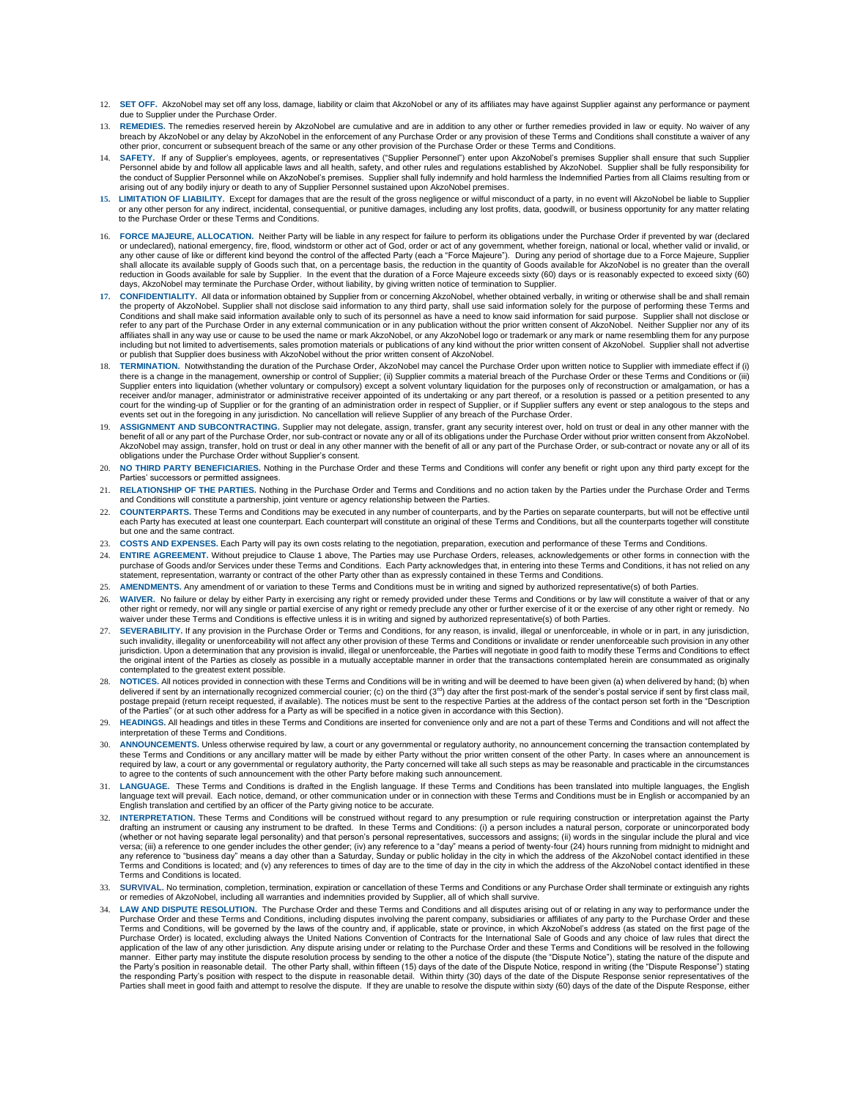- 12. **SET OFF.** AkzoNobel may set off any loss, damage, liability or claim that AkzoNobel or any of its affiliates may have against Supplier against any performance or payment due to Supplier under the Purchase Order.
- 13. REMEDIES. The remedies reserved herein by AkzoNobel are cumulative and are in addition to any other or further remedies provided in law or equity. No waiver of any<br>breach by AkzoNobel or any delay by AkzoNobel in the e other prior, concurrent or subsequent breach of the same or any other provision of the Purchase Order or these Terms and Conditions.
- 14. **SAFETY.** If any of Supplier's employees, agents, or representatives ("Supplier Personnel") enter upon AkzoNobel's premises Supplier shall ensure that such Supplier Personnel abide by and follow all applicable laws and all health, safety, and other rules and regulations established by AkzoNobel. Supplier shall be fully responsibility for<br>the conduct of Supplier Personnel while on Akz
- **15. LIMITATION OF LIABILITY.** Except for damages that are the result of the gross negligence or wilful misconduct of a party, in no event will AkzoNobel be liable to Supplier or any other person for any indirect, incidental, consequential, or punitive damages, including any lost profits, data, goodwill, or business opportunity for any matter relating to the Purchase Order or these Terms and Conditions.
- 16. FORCE MAJEURE, ALLOCATION. Neither Party will be liable in any respect for failure to perform its obligations under the Purchase Order if prevented by war (declared<br>or undeclared), national emergency, fire, flood, wind any other cause of like or different kind beyond the control of the affected Party (each a "Force Majeure"). During any period of shortage due to a Force Majeure, Supplier<br>shall allocate its available supply of Goods such reduction in Goods available for sale by Supplier. In the event that the duration of a Force Majeure exceeds sixty (60) days or is reasonably expected to exceed sixty (60) days, AkzoNobel may terminate the Purchase Order, without liability, by giving written notice of termination to Supplier.
- **17. CONFIDENTIALITY.** All data or information obtained by Supplier from or concerning AkzoNobel, whether obtained verbally, in writing or otherwise shall be and shall remain the property of AkzoNobel. Supplier shall not disclose said information to any third party, shall use said information solely for the purpose of performing these Terms and Conditions and shall make said information available only to such of its personnel as have a need to know said information for said purpose. Supplier shall not disclose or refer to any part of the Purchase Order in any external communication or in any publication without the prior written consent of AkzoNobel. Neither Supplier nor any of its affiliates shall in any way use or cause to be used the name or mark AkzoNobel, or any AkzoNobel logo or trademark or any mark or name resembling them for any purpose including but not limited to advertisements, sales promotion materials or publications of any kind without the prior written consent of AkzoNobel. Supplier shall not advertise or publish that Supplier does business with AkzoNobel without the prior written consent of AkzoNobel.
- TERMINATION. Notwithstanding the duration of the Purchase Order, AkzoNobel may cancel the Purchase Order upon written notice to Supplier with immediate effect if (i) there is a change in the management, ownership or control of Supplier; (ii) Supplier commits a material breach of the Purchase Order or these Terms and Conditions or (iii)<br>Supplier enters into liquidation (whether voluntar receiver and/or manager, administrator or administrative receiver appointed of its undertaking or any part thereof, or a resolution is passed or a petition presented to any court for the winding-up of Supplier or for the granting of an administration order in respect of Supplier, or if Supplier suffers any event or step analogous to the steps and<br>events set out in the foregoing in any jurisdi
- 19. ASSIGNMENT AND SUBCONTRACTING. Supplier may not delegate, assign, transfer, grant any security interest over, hold on trust or deal in any other manner with the benefit of all or any part of the Purchase Order, nor sub AkzoNobel may assign, transfer, hold on trust or deal in any other manner with the benefit of all or any part of the Purchase Order, or sub-contract or novate any or all of its<br>obligations under the Purchase Order without
- 20. **NO THIRD PARTY BENEFICIARIES.** Nothing in the Purchase Order and these Terms and Conditions will confer any benefit or right upon any third party except for the Parties' successors or permitted assignees
- 21. RELATIONSHIP OF THE PARTIES. Nothing in the Purchase Order and Terms and Conditions and no action taken by the Parties under the Purchase Order and Terms<br>and Conditions will constitute a partnership, joint venture or a
- 22. **COUNTERPARTS.** These Terms and Conditions may be executed in any number of counterparts, and by the Parties on separate counterparts, but will not be effective until each Party has executed at least one counterpart. Each counterpart will constitute an original of these Terms and Conditions, but all the counterparts together will constitute but one and the same contract.
- 23. **COSTS AND EXPENSES.** Each Party will pay its own costs relating to the negotiation, preparation, execution and performance of these Terms and Conditions.
- 24. **ENTIRE AGREEMENT.** Without prejudice to Clause 1 above, The Parties may use Purchase Orders, releases, acknowledgements or other forms in connection with the purchase of Goods and/or Services under these Terms and Conditions. Each Party acknowledges that, in entering into these Terms and Conditions, it has not relied on any tatement, representation, warranty or contract of the other Party other than as expressly contained in these Terms and Conditions.
- 25. **AMENDMENTS.** Any amendment of or variation to these Terms and Conditions must be in writing and signed by authorized representative(s) of both Parties.
- 26. **WAIVER.** No failure or delay by either Party in exercising any right or remedy provided under these Terms and Conditions or by law will constitute a waiver of that or any other right or remedy, nor will any single or partial exercise of any right or remedy preclude any other or further exercise of it or the exercise of any other right or remedy. No waiver under these Terms and Conditions is effective unless it is in writing and signed by authorized representative(s) of both Parties
- 27. **SEVERABILITY.** If any provision in the Purchase Order or Terms and Conditions, for any reason, is invalid, illegal or unenforceable, in whole or in part, in any jurisdiction, such invalidity, illegality or unenforceability will not affect any other provision of these Terms and Conditions or invalidate or render unenforceable such provision in any other<br>jurisdiction. Upon a determination that an the original intent of the Parties as closely as possible in a mutually acceptable manner in order that the transactions contemplated herein are consummated as originally contemplated to the greatest extent possible.
- NOTICES. All notices provided in connection with these Terms and Conditions will be in writing and will be deemed to have been given (a) when delivered by hand; (b) when delivered if sent by an internationally recognized commercial courier; (c) on the third (3<sup>rd</sup>) day after the first post-mark of the sender's postal service if sent by first class mail,<br>postage prepaid (return receipt requ
- 29. **HEADINGS.** All headings and titles in these Terms and Conditions are inserted for convenience only and are not a part of these Terms and Conditions and will not affect the interpretation of these Terms and Conditions.
- ANNOUNCEMENTS. Unless otherwise required by law, a court or any governmental or regulatory authority, no announcement concerning the transaction contemplated by these Terms and Conditions or any ancillary matter will be made by either Party without the prior written consent of the other Party. In cases where an announcement is required by law, a court or any governmental or regulatory authority, the Party concerned will take all such steps as may be reasonable and practicable in the circumstances<br>to agree to the contents of such announcement wit
- 11. LANGUAGE. These Terms and Conditions is drafted in the English language. If these Terms and Conditions has been translated into multiple languages, the English and Conditions has been translated into multiple languages English translation and certified by an officer of the Party giving notice to be accurate.
- 32. **INTERPRETATION.** These Terms and Conditions will be construed without regard to any presumption or rule requiring construction or interpretation against the Party drafting an instrument or causing any instrument to be drafted. In these Terms and Conditions: (i) a person includes a natural person, corporate or unincorporated body (whether or not having separate legal personality) and that person's personal representatives, successors and assigns; (ii) words in the singular include the plural and vice versa; (iii) a reference to one gender includes the other gender; (iv) any reference to a "day" means a period of twenty-four (24) hours running from midnight to midnight and any reference to "business day" means a day other than a Saturday, Sunday or public holiday in the city in which the address of the AkzoNobel contact identified in these<br>Terms and Conditions is located; and (v) any referen Terms and Conditions is located.
- SURVIVAL. No termination, completion, termination, expiration or cancellation of these Terms and Conditions or any Purchase Order shall terminate or extinguish any rights or remedies of AkzoNobel, including all warranties and indemnities provided by Supplier, all of which shall survive.
- LAW AND DISPUTE RESOLUTION. The Purchase Order and these Terms and Conditions and all disputes arising out of or relating in any way to performance under the Purchase Order and these Terms and Conditions, including disputes involving the parent company, subsidiaries or affiliates of any party to the Purchase Order and these<br>Terms and Conditions, will be governed by the laws of Purchase Order) is located, excluding always the United Nations Convention of Contracts for the International Sale of Goods and any choice of law rules that direct the application of the law of any other jurisdiction. Any dispute arising under or relating to the Purchase Order and these Terms and Conditions will be resolved in the following<br>manner. Either party may institute the dispute the Party's position in reasonable detail. The other Party shall, within fifteen (15) days of the date of the Dispute Notice, respond in writing (the "Dispute Response") stating<br>the responding Party's position with respec Parties shall meet in good faith and attempt to resolve the dispute. If they are unable to resolve the dispute within sixty (60) days of the date of the Dispute Response, either